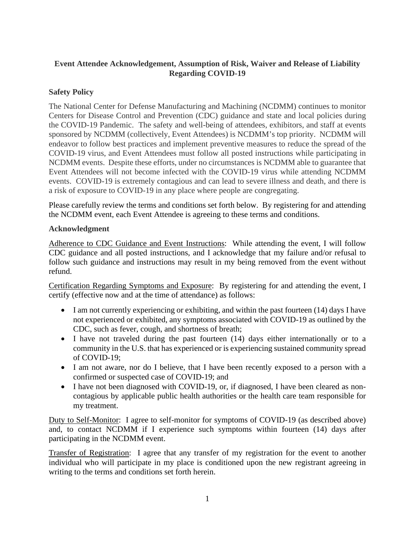# **Event Attendee Acknowledgement, Assumption of Risk, Waiver and Release of Liability Regarding COVID-19**

# **Safety Policy**

The National Center for Defense Manufacturing and Machining (NCDMM) continues to monitor Centers for Disease Control and Prevention (CDC) guidance and state and local policies during the COVID-19 Pandemic. The safety and well-being of attendees, exhibitors, and staff at events sponsored by NCDMM (collectively, Event Attendees) is NCDMM's top priority. NCDMM will endeavor to follow best practices and implement preventive measures to reduce the spread of the COVID-19 virus, and Event Attendees must follow all posted instructions while participating in NCDMM events. Despite these efforts, under no circumstances is NCDMM able to guarantee that Event Attendees will not become infected with the COVID-19 virus while attending NCDMM events. COVID-19 is extremely contagious and can lead to severe illness and death, and there is a risk of exposure to COVID-19 in any place where people are congregating.

Please carefully review the terms and conditions set forth below. By registering for and attending the NCDMM event, each Event Attendee is agreeing to these terms and conditions.

### **Acknowledgment**

Adherence to CDC Guidance and Event Instructions: While attending the event, I will follow CDC guidance and all posted instructions, and I acknowledge that my failure and/or refusal to follow such guidance and instructions may result in my being removed from the event without refund.

Certification Regarding Symptoms and Exposure: By registering for and attending the event, I certify (effective now and at the time of attendance) as follows:

- I am not currently experiencing or exhibiting, and within the past fourteen (14) days I have not experienced or exhibited, any symptoms associated with COVID-19 as outlined by the CDC, such as fever, cough, and shortness of breath;
- I have not traveled during the past fourteen (14) days either internationally or to a community in the U.S. that has experienced or is experiencing sustained community spread of COVID-19;
- I am not aware, nor do I believe, that I have been recently exposed to a person with a confirmed or suspected case of COVID-19; and
- I have not been diagnosed with COVID-19, or, if diagnosed, I have been cleared as noncontagious by applicable public health authorities or the health care team responsible for my treatment.

Duty to Self-Monitor: I agree to self-monitor for symptoms of COVID-19 (as described above) and, to contact NCDMM if I experience such symptoms within fourteen (14) days after participating in the NCDMM event.

Transfer of Registration: I agree that any transfer of my registration for the event to another individual who will participate in my place is conditioned upon the new registrant agreeing in writing to the terms and conditions set forth herein.